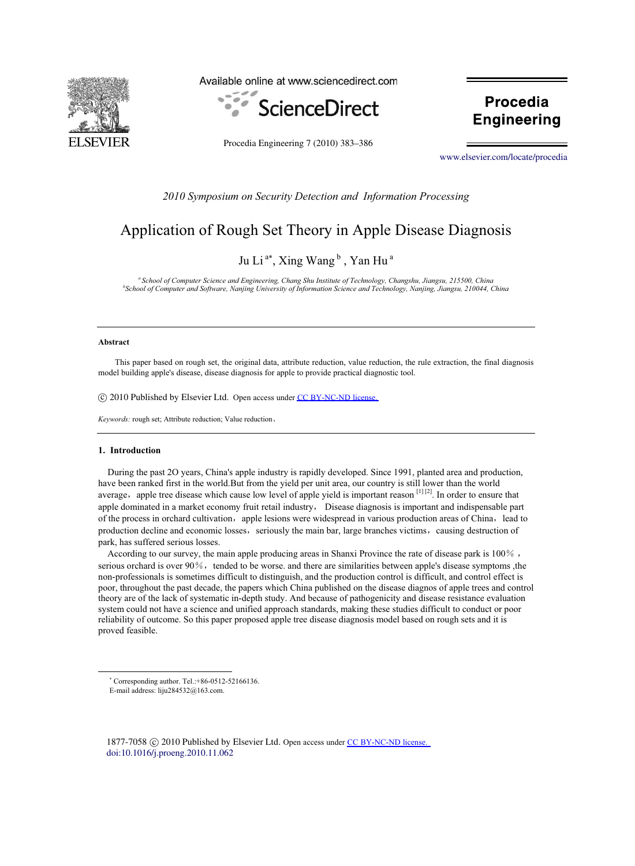

Available online at www.sciencedirect.com



Procedia Engineering 7 (2010) 383–386

[www.elsevier.com/locate/procedia](http://www.elsevier.com/locate/procedia)

**Engineering**

## *2010 Symposium on Security Detection and Information Processing*

# Application of Rough Set Theory in Apple Disease Diagnosis

Ju Li $^{\mathrm{a*}},$  Xing Wang  $^{\mathrm{b}}$  , Yan Hu  $^{\mathrm{a}}$ 

*<sup>a</sup> School of Computer Science and Engineering, Chang Shu Institute of Technology, Changshu, Jiangsu, 215500, China b School of Computer and Software, Nanjing University of Information Science and Technology, Nanjing, Jiangsu, 210044, China* 

#### **Abstract**

This paper based on rough set, the original data, attribute reduction, value reduction, the rule extraction, the final diagnosis model building apple's disease, disease diagnosis for apple to provide practical diagnostic tool.

© 2010 Published by Elsevier Ltd. Open access under [CC BY-NC-ND license.](http://creativecommons.org/licenses/by-nc-nd/3.0/)

*Keywords:* rough set; Attribute reduction; Value reduction,

#### **1. Introduction**

 $\overline{a}$ 

During the past 2O years, China's apple industry is rapidly developed. Since 1991, planted area and production, have been ranked first in the world.But from the yield per unit area, our country is still lower than the world average, apple tree disease which cause low level of apple yield is important reason  $[1]$   $[2]$ . In order to ensure that apple dominated in a market economy fruit retail industry, Disease diagnosis is important and indispensable part of the process in orchard cultivation, apple lesions were widespread in various production areas of China, lead to production decline and economic losses, seriously the main bar, large branches victims, causing destruction of park, has suffered serious losses.

According to our survey, the main apple producing areas in Shanxi Province the rate of disease park is  $100\%$ , serious orchard is over  $90\%$ , tended to be worse. and there are similarities between apple's disease symptoms, the non-professionals is sometimes difficult to distinguish, and the production control is difficult, and control effect is poor, throughout the past decade, the papers which China published on the disease diagnos of apple trees and control theory are of the lack of systematic in-depth study. And because of pathogenicity and disease resistance evaluation system could not have a science and unified approach standards, making these studies difficult to conduct or poor reliability of outcome. So this paper proposed apple tree disease diagnosis model based on rough sets and it is proved feasible.

1877-7058 © 2010 Published by Elsevier Ltd. Open access under [CC BY-NC-ND license.](http://creativecommons.org/licenses/by-nc-nd/3.0/) [doi:10.1016/j.proeng.2010.11.062](http://dx.doi.org/10.1016/j.proeng.2010.11.062)

 Corresponding author. Tel.:+86-0512-52166136. E-mail address: liju284532@163.com.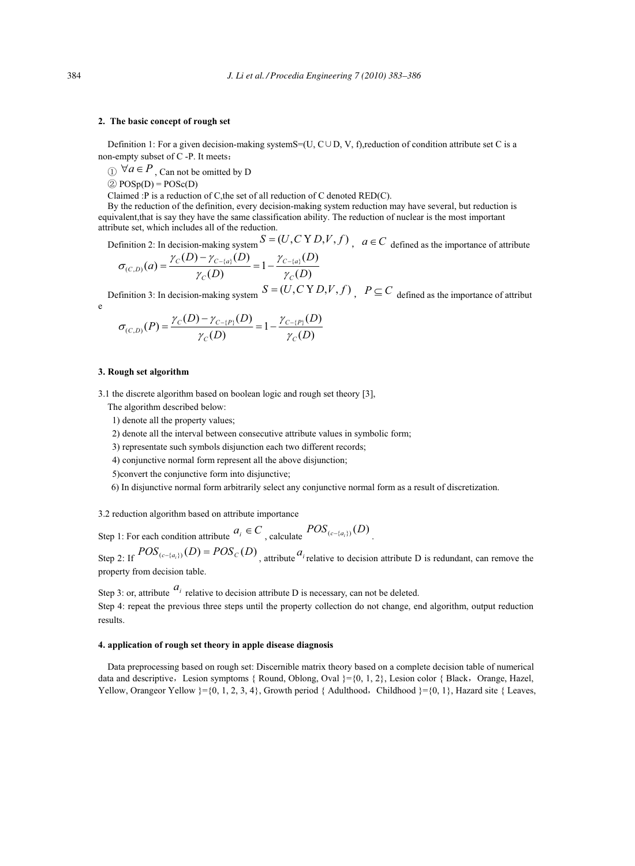### **2. The basic concept of rough set**

Definition 1: For a given decision-making system  $S=(U, C \cup D, V, f)$ , reduction of condition attribute set C is a non-empty subset of C -P. It meets:

 $\textcircled{1}$   $\forall a \in P$ , Can not be omitted by D

 $\textcircled{2}$  POSp(D) = POSc(D)

Claimed :P is a reduction of C,the set of all reduction of C denoted RED(C).

By the reduction of the definition, every decision-making system reduction may have several, but reduction is equivalent,that is say they have the same classification ability. The reduction of nuclear is the most important attribute set, which includes all of the reduction.

Definition 2: In decision-making system  $S = (U, CYD, V, f)$ ,  $a \in C$  defined as the importance of attribute

$$
\sigma_{(C,D)}(a) = \frac{\gamma_C(D) - \gamma_{C-\{a\}}(D)}{\gamma_C(D)} = 1 - \frac{\gamma_{C-\{a\}}(D)}{\gamma_C(D)}
$$

Definition 3: In decision-making system  $S = (U, C \, Y \, D, V, f)$ ,  $P \subseteq C$  defined as the importance of attribut

$$
\sigma_{(C,D)}(P) = \frac{\gamma_C(D) - \gamma_{C-\{P\}}(D)}{\gamma_C(D)} = 1 - \frac{\gamma_{C-\{P\}}(D)}{\gamma_C(D)}
$$

#### **3. Rough set algorithm**

e

3.1 the discrete algorithm based on boolean logic and rough set theory [3],

The algorithm described below:

1) denote all the property values;

2) denote all the interval between consecutive attribute values in symbolic form;

3) representate such symbols disjunction each two different records;

4) conjunctive normal form represent all the above disjunction;

5)convert the conjunctive form into disjunctive;

6) In disjunctive normal form arbitrarily select any conjunctive normal form as a result of discretization.

3.2 reduction algorithm based on attribute importance

Step 1: For each condition attribute  $a_i \in C$ , calculate  $POS_{(c-\lbrace a_i\rbrace)}(D)$ 

Step 2: If  $POS_{(c-\lbrace a_{i}\rbrace)}(D) = POS_{C}(D)$ , attribute  $a_{i}$  relative to decision attribute D is redundant, can remove the property from decision table.

Step 3: or, attribute  $a_i$  relative to decision attribute D is necessary, can not be deleted. Step 4: repeat the previous three steps until the property collection do not change, end algorithm, output reduction results.

#### **4. application of rough set theory in apple disease diagnosis**

Data preprocessing based on rough set: Discernible matrix theory based on a complete decision table of numerical data and descriptive, Lesion symptoms { Round, Oblong, Oval  $\}$ ={0, 1, 2}, Lesion color { Black, Orange, Hazel, Yellow, Orangeor Yellow }={0, 1, 2, 3, 4}, Growth period { Adulthood, Childhood }={0, 1}, Hazard site { Leaves,